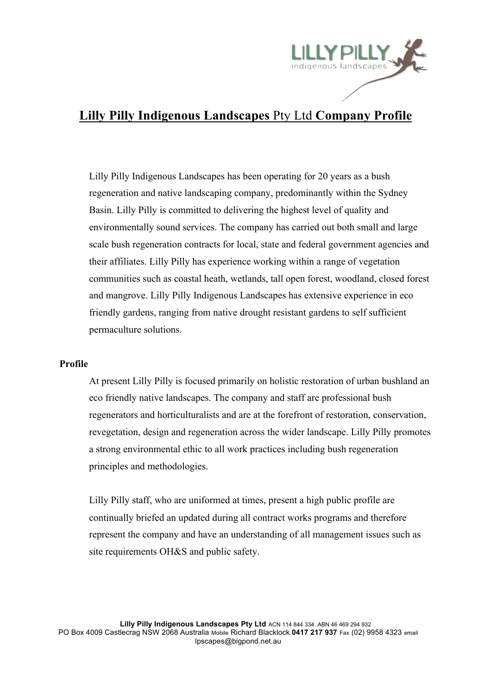

## **Lilly Pilly Indigenous Landscapes** Pty Ltd **Company Profile**

Lilly Pilly Indigenous Landscapes has been operating for 20 years as a bush regeneration and native landscaping company, predominantly within the Sydney Basin. Lilly Pilly is committed to delivering the highest level of quality and environmentally sound services. The company has carried out both small and large scale bush regeneration contracts for local, state and federal government agencies and their affiliates. Lilly Pilly has experience working within a range of vegetation communities such as coastal heath, wetlands, tall open forest, woodland, closed forest and mangrove. Lilly Pilly Indigenous Landscapes has extensive experience in eco friendly gardens, ranging from native drought resistant gardens to self sufficient permaculture solutions.

## **Profile**

At present Lilly Pilly is focused primarily on holistic restoration of urban bushland an eco friendly native landscapes. The company and staff are professional bush regenerators and horticulturalists and are at the forefront of restoration, conservation, revegetation, design and regeneration across the wider landscape. Lilly Pilly promotes a strong environmental ethic to all work practices including bush regeneration principles and methodologies.

Lilly Pilly staff, who are uniformed at times, present a high public profile are continually briefed an updated during all contract works programs and therefore represent the company and have an understanding of all management issues such as site requirements OH&S and public safety.